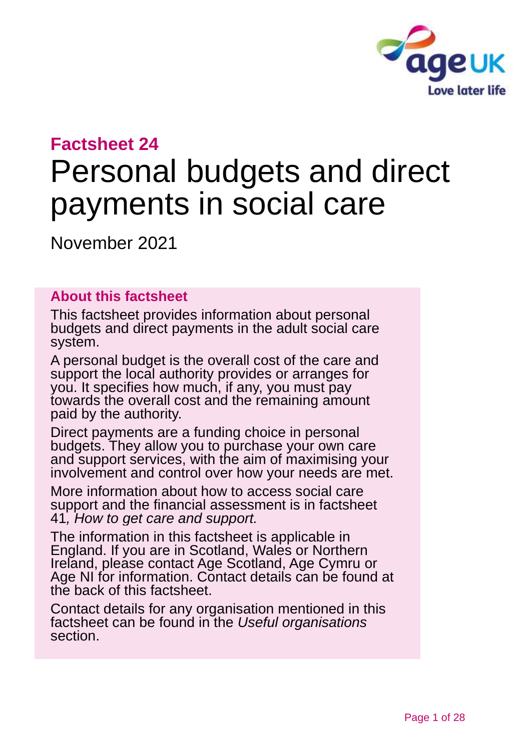

# **Factsheet 24**

# Personal budgets and direct payments in social care

November 2021

### **About this factsheet**

This factsheet provides information about personal budgets and direct payments in the adult social care system.

A personal budget is the overall cost of the care and support the local authority provides or arranges for you. It specifies how much, if any, you must pay towards the overall cost and the remaining amount paid by the authority.

Direct payments are a funding choice in personal budgets. They allow you to purchase your own care and support services, with the aim of maximising your involvement and control over how your needs are met.

More information about how to access social care support and the financial assessment is in factsheet 41*, [How to get care and support.](https://www.ageuk.org.uk/globalassets/age-uk/documents/factsheets/fs41_how_to_get_care_and_support_fcs.pdf?dtrk=true)*

The information in this factsheet is applicable in England. If you are in Scotland, Wales or Northern Ireland, please contact [Age Scotland, Age Cymru or](#page-26-0)  [Age NI](#page-26-0) for information. Contact details can be found at the back of this factsheet.

Contact details for any organisation mentioned in this factsheet can be found in the *[Useful organisations](#page-25-0)* section.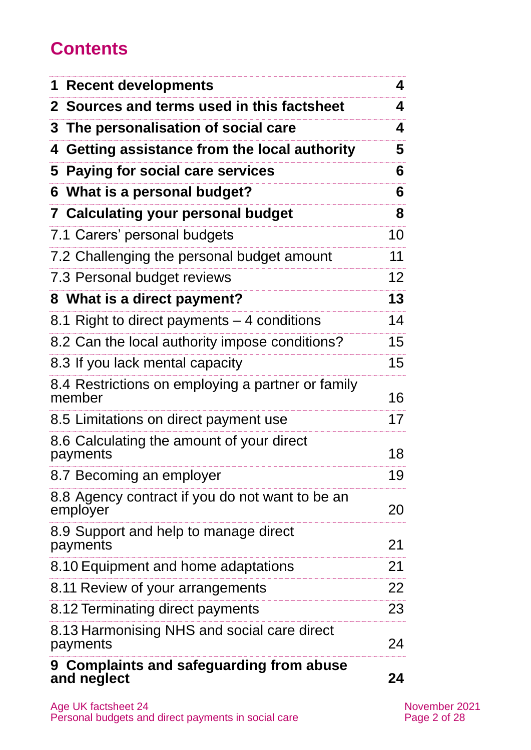# **Contents**

| 1 Recent developments                                       | 4               |
|-------------------------------------------------------------|-----------------|
| 2 Sources and terms used in this factsheet                  | 4               |
| 3 The personalisation of social care                        | 4               |
| 4 Getting assistance from the local authority               | 5               |
| 5 Paying for social care services                           | 6               |
| 6 What is a personal budget?                                | 6               |
| <b>7 Calculating your personal budget</b>                   | 8               |
| 7.1 Carers' personal budgets                                | 10              |
| 7.2 Challenging the personal budget amount                  | 11              |
| 7.3 Personal budget reviews                                 | 12 <sub>2</sub> |
| 8 What is a direct payment?                                 | 13              |
| 8.1 Right to direct payments $-$ 4 conditions               | 14              |
| 8.2 Can the local authority impose conditions?              | 15              |
| 8.3 If you lack mental capacity                             | 15              |
| 8.4 Restrictions on employing a partner or family<br>member | 16              |
| 8.5 Limitations on direct payment use                       | 17              |
| 8.6 Calculating the amount of your direct<br>payments       | 18              |
| 8.7 Becoming an employer                                    | 19              |
| 8.8 Agency contract if you do not want to be an<br>employer | 20              |
| 8.9 Support and help to manage direct<br>payments           | 21              |
| 8.10 Equipment and home adaptations                         | 21              |
| 8.11 Review of your arrangements                            | 22              |
| 8.12 Terminating direct payments                            | 23              |
| 8.13 Harmonising NHS and social care direct<br>payments     | 24              |
| 9 Complaints and safeguarding from abuse<br>and neglect     | 24              |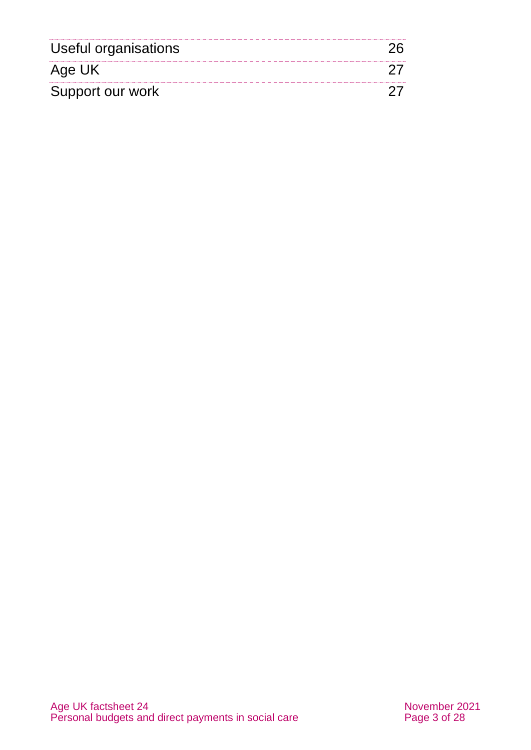| Useful organisations |  |
|----------------------|--|
| Age UK               |  |
| Support our work     |  |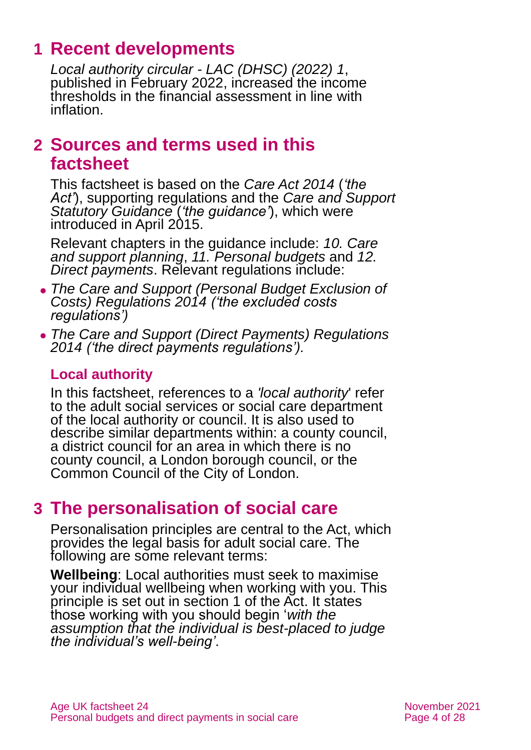# **1 Recent developments**

*[Local authority circular -](https://www.gov.uk/government/publications/social-care-charging-for-local-authorities-2022-to-2023) LAC (DHSC) (2022) 1*, published in February 2022, increased the income thresholds in the financial assessment in line with inflation.

# <span id="page-3-0"></span>**2 Sources and terms used in this factsheet**

This factsheet is based on the *[Care Act 2014](https://www.legislation.gov.uk/ukpga/2014/23/contents)* (*'the Act'*), supporting regulations and the *[Care and Support](https://www.gov.uk/government/publications/care-act-statutory-guidance/care-and-support-statutory-guidance)  [Statutory Guidance](https://www.gov.uk/government/publications/care-act-statutory-guidance/care-and-support-statutory-guidance)* (*'the guidance'*), which were introduced in April 2015.

Relevant chapters in the guidance include: *[10. Care](https://www.gov.uk/government/publications/care-act-statutory-guidance/care-and-support-statutory-guidance#Chapter10)  [and support planning](https://www.gov.uk/government/publications/care-act-statutory-guidance/care-and-support-statutory-guidance#Chapter10)*, *[11. Personal budgets](https://www.gov.uk/government/publications/care-act-statutory-guidance/care-and-support-statutory-guidance#Chapter11)* and *[12.](https://www.gov.uk/government/publications/care-act-statutory-guidance/care-and-support-statutory-guidance#Chapter12)  [Direct payments](https://www.gov.uk/government/publications/care-act-statutory-guidance/care-and-support-statutory-guidance#Chapter12)*. Relevant regulations include:

- ⚫ *The [Care and Support \(Personal Budget Exclusion of](https://www.legislation.gov.uk/uksi/2014/2840/contents/made)  [Costs\) Regulations 2014](https://www.legislation.gov.uk/uksi/2014/2840/contents/made) ('the excluded costs regulations')*
- ⚫ *The [Care and Support \(Direct Payments\) Regulations](http://www.legislation.gov.uk/uksi/2014/2871/contents/made)  [2014](http://www.legislation.gov.uk/uksi/2014/2871/contents/made) ('the direct payments regulations').*

## **Local authority**

In this factsheet, references to a *'local authority*' refer to the adult social services or social care department of the local authority or council. It is also used to describe similar departments within: a county council, a district council for an area in which there is no county council, a London borough council, or the Common Council of the City of London.

# <span id="page-3-1"></span>**3 The personalisation of social care**

Personalisation principles are central to the Act, which provides the legal basis for adult social care. The following are some relevant terms:

**Wellbeing**: Local authorities must seek to maximise your individual wellbeing when working with you. This principle is set out in section 1 of the Act. It states those working with you should begin '*with the assumption that the individual is best-placed to judge the individual's well-being'*.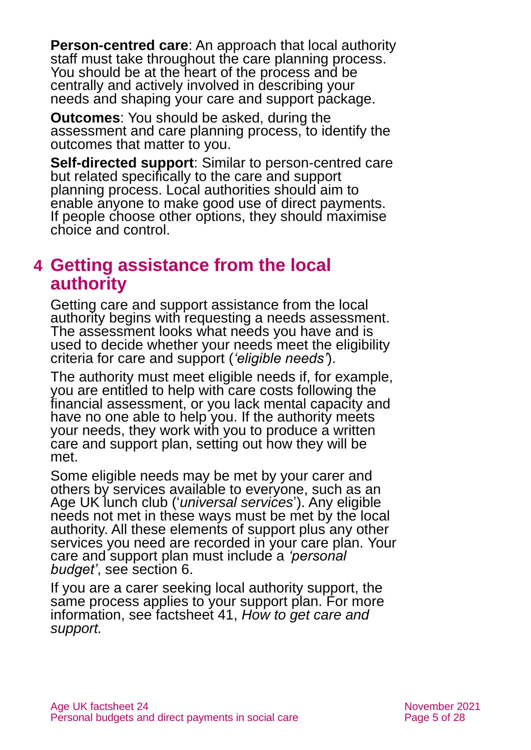**Person-centred care**: An approach that local authority staff must take throughout the care planning process. You should be at the heart of the process and be centrally and actively involved in describing your needs and shaping your care and support package.

**Outcomes**: You should be asked, during the assessment and care planning process, to identify the outcomes that matter to you.

**Self-directed support**: Similar to person-centred care but related specifically to the care and support planning process. Local authorities should aim to enable anyone to make good use of direct payments. If people choose other options, they should maximise choice and control.

# <span id="page-4-0"></span>**4 Getting assistance from the local authority**

Getting care and support assistance from the local authority begins with requesting a needs assessment. The assessment looks what needs you have and is used to decide whether your needs meet the eligibility criteria for care and support (*'eligible needs'*).

The authority must meet eligible needs if, for example, you are entitled to help with care costs following the financial assessment, or you lack mental capacity and have no one able to help you. If the authority meets your needs, they work with you to produce a written care and support plan, setting out how they will be met.

Some eligible needs may be met by your carer and others by services available to everyone, such as an Age UK lunch club ('*universal services*'). Any eligible needs not met in these ways must be met by the local authority. All these elements of support plus any other services you need are recorded in your care plan. Your care and support plan must include a *'personal budget'*, [see section 6.](#page-5-1)

If you are a carer seeking local authority support, the same process applies to your support plan. For more information, see factsheet 41, *[How to get care and](https://www.ageuk.org.uk/globalassets/age-uk/documents/factsheets/fs41_how_to_get_care_and_support_fcs.pdf)  [support.](https://www.ageuk.org.uk/globalassets/age-uk/documents/factsheets/fs41_how_to_get_care_and_support_fcs.pdf)*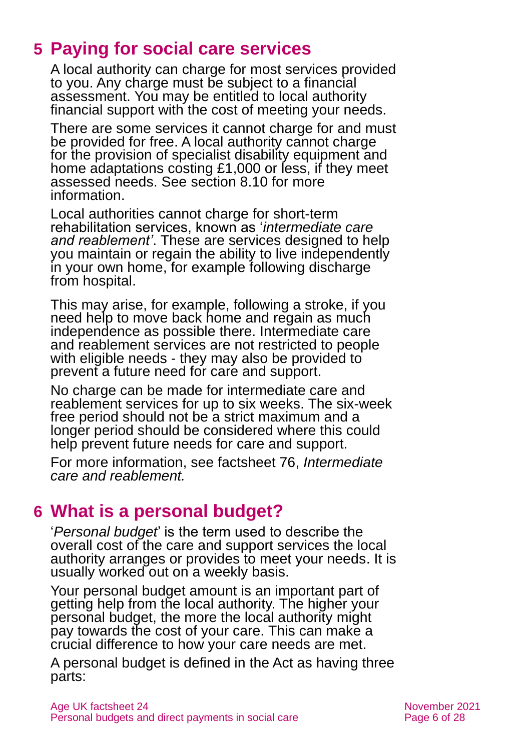# <span id="page-5-0"></span>**5 Paying for social care services**

A local authority can charge for most services provided to you. Any charge must be subject to a financial assessment. You may be entitled to local authority financial support with the cost of meeting your needs.

There are some services it cannot charge for and must be provided for free. A local authority cannot charge for the provision of specialist disability equipment and home adaptations costing £1,000 or less, if they meet assessed needs. See [section 8.10](#page-20-0) for more information.

Local authorities cannot charge for short-term rehabilitation services, known as '*intermediate care and reablement'*. These are services designed to help you maintain or regain the ability to live independently in your own home, for example following discharge from hospital.

This may arise, for example, following a stroke, if you need help to move back home and regain as much independence as possible there. Intermediate care and reablement services are not restricted to people with eligible needs - they may also be provided to prevent a future need for care and support.

No charge can be made for intermediate care and reablement services for up to six weeks. The six-week free period should not be a strict maximum and a longer period should be considered where this could help prevent future needs for care and support.

For more information, see factsheet 76, *[Intermediate](https://www.ageuk.org.uk/globalassets/age-uk/documents/factsheets/fs76_intermediate_care_and_reablement_fcs.pdf)  [care and reablement.](https://www.ageuk.org.uk/globalassets/age-uk/documents/factsheets/fs76_intermediate_care_and_reablement_fcs.pdf)*

# <span id="page-5-1"></span>**6 What is a personal budget?**

'*Personal budget*' is the term used to describe the overall cost of the care and support services the local authority arranges or provides to meet your needs. It is usually worked out on a weekly basis.

Your personal budget amount is an important part of getting help from the local authority. The higher your personal budget, the more the local authority might pay towards the cost of your care. This can make a crucial difference to how your care needs are met.

A personal budget is defined in the Act as having three parts: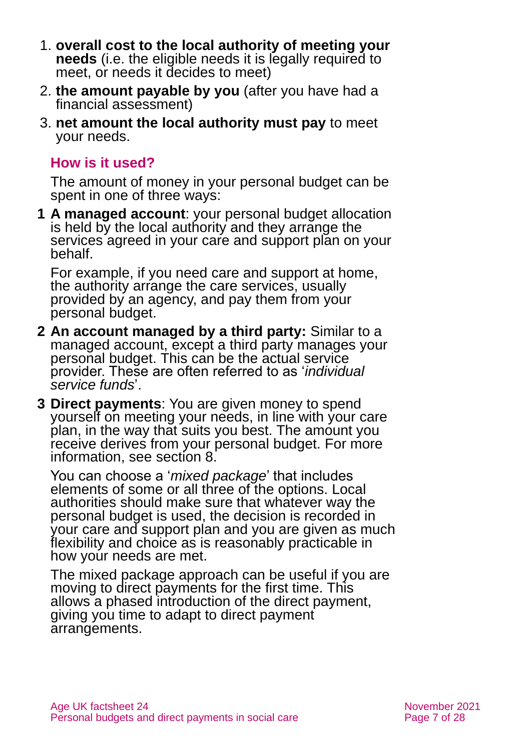- 1. **overall cost to the local authority of meeting your needs** (i.e. the eligible needs it is legally required to meet, or needs it decides to meet)
- 2. **the amount payable by you** (after you have had a financial assessment)
- 3. **net amount the local authority must pay** to meet your needs.

# **How is it used?**

The amount of money in your personal budget can be spent in one of three ways:

**1 A managed account**: your personal budget allocation is held by the local authority and they arrange the services agreed in your care and support plan on your behalf.

For example, if you need care and support at home, the authority arrange the care services, usually provided by an agency, and pay them from your personal budget.

- **2 An account managed by a third party:** Similar to a managed account, except a third party manages your personal budget. This can be the actual service provider. These are often referred to as '*individual service funds*'.
- **3 Direct payments**: You are given money to spend yourself on meeting your needs, in line with your care plan, in the way that suits you best. The amount you receive derives from your personal budget. For more information, see [section 8.](#page-12-0)

You can choose a '*mixed package*' that includes elements of some or all three of the options. Local authorities should make sure that whatever way the personal budget is used, the decision is recorded in your care and support plan and you are given as much flexibility and choice as is reasonably practicable in how your needs are met.

The mixed package approach can be useful if you are moving to direct payments for the first time. This allows a phased introduction of the direct payment, giving you time to adapt to direct payment arrangements.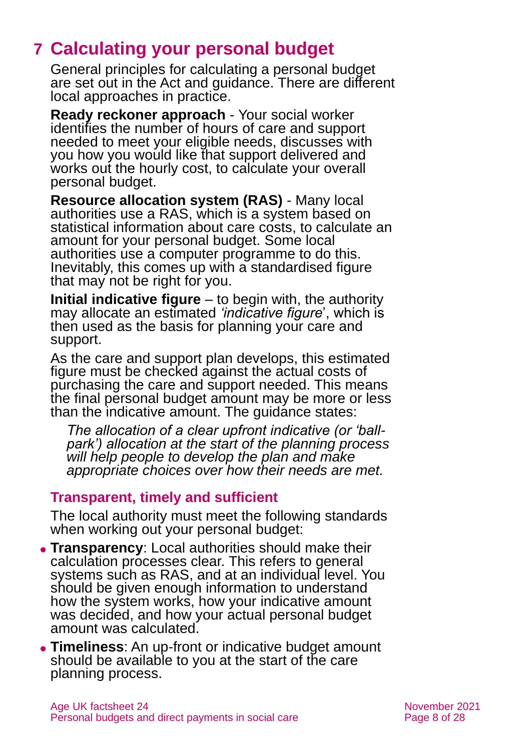# <span id="page-7-0"></span>**7 Calculating your personal budget**

General principles for calculating a personal budget are set out in the Act and guidance. There are different local approaches in practice.

**Ready reckoner approach** - Your social worker identifies the number of hours of care and support needed to meet your eligible needs, discusses with you how you would like that support delivered and works out the hourly cost, to calculate your overall personal budget.

**Resource allocation system (RAS)** - Many local authorities use a RAS, which is a system based on statistical information about care costs, to calculate an amount for your personal budget. Some local authorities use a computer programme to do this. Inevitably, this comes up with a standardised figure that may not be right for you.

**Initial indicative figure** – to begin with, the authority may allocate an estimated *'indicative figure*', which is then used as the basis for planning your care and support.

As the care and support plan develops, this estimated figure must be checked against the actual costs of purchasing the care and support needed. This means the final personal budget amount may be more or less than the indicative amount. The guidance states:

*The allocation of a clear upfront indicative (or 'ballpark') allocation at the start of the planning process will help people to develop the plan and make appropriate choices over how their needs are met.*

## **Transparent, timely and sufficient**

The local authority must meet the following standards when working out your personal budget:

- ⚫ **Transparency**: Local authorities should make their calculation processes clear. This refers to general systems such as RAS, and at an individual level. You should be given enough information to understand how the system works, how your indicative amount was decided, and how your actual personal budget amount was calculated.
- ⚫ **Timeliness**: An up-front or indicative budget amount should be available to you at the start of the care planning process.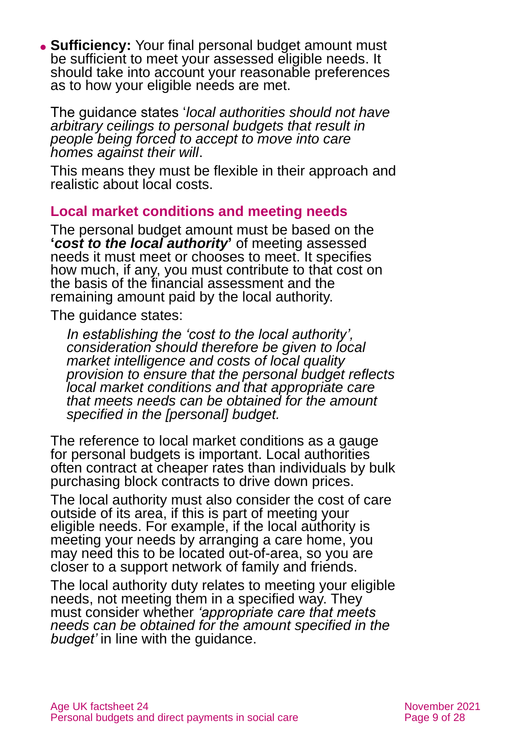⚫ **Sufficiency:** Your final personal budget amount must be sufficient to meet your assessed eligible needs. It should take into account your reasonable preferences as to how your eligible needs are met.

The guidance states '*local authorities should not have arbitrary ceilings to personal budgets that result in people being forced to accept to move into care homes against their will*.

This means they must be flexible in their approach and realistic about local costs.

### **Local market conditions and meeting needs**

The personal budget amount must be based on the **'***cost to the local authority***'** of meeting assessed needs it must meet or chooses to meet. It specifies how much, if any, you must contribute to that cost on the basis of the financial assessment and the remaining amount paid by the local authority.

The guidance states:

*In establishing the 'cost to the local authority', consideration should therefore be given to local market intelligence and costs of local quality provision to ensure that the personal budget reflects local market conditions and that appropriate care that meets needs can be obtained for the amount specified in the [personal] budget.* 

The reference to local market conditions as a gauge for personal budgets is important. Local authorities often contract at cheaper rates than individuals by bulk purchasing block contracts to drive down prices.

The local authority must also consider the cost of care outside of its area, if this is part of meeting your eligible needs. For example, if the local authority is meeting your needs by arranging a care home, you may need this to be located out-of-area, so you are closer to a support network of family and friends.

The local authority duty relates to meeting your eligible needs, not meeting them in a specified way. They must consider whether *'appropriate care that meets needs can be obtained for the amount specified in the budget'* in line with the guidance.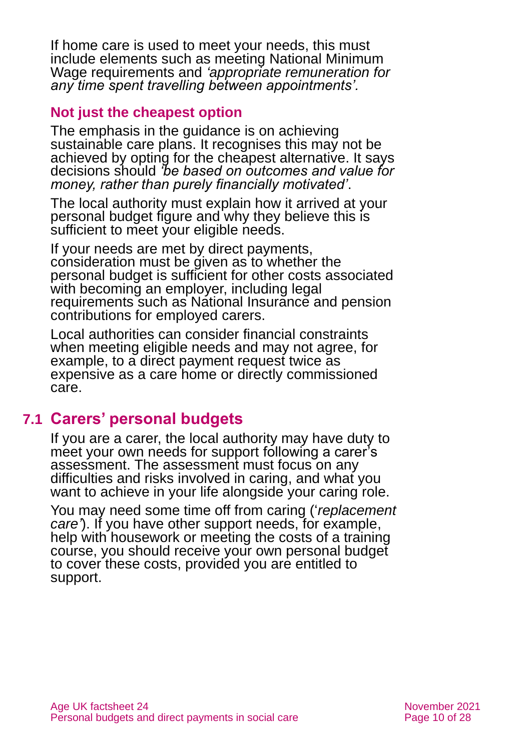If home care is used to meet your needs, this must include elements such as meeting National Minimum Wage requirements and *'appropriate remuneration for any time spent travelling between appointments'.*

### **Not just the cheapest option**

The emphasis in the guidance is on achieving sustainable care plans. It recognises this may not be achieved by opting for the cheapest alternative. It says decisions should *'be based on outcomes and value for money, rather than purely financially motivated'*.

The local authority must explain how it arrived at your personal budget figure and why they believe this is sufficient to meet your eligible needs.

If your needs are met by direct payments, consideration must be given as to whether the personal budget is sufficient for other costs associated with becoming an employer, including legal requirements such as National Insurance and pension contributions for employed carers.

Local authorities can consider financial constraints when meeting eligible needs and may not agree, for example, to a direct payment request twice as expensive as a care home or directly commissioned care.

# **7.1 Carers' personal budgets**

If you are a carer, the local authority may have duty to meet your own needs for support following a carer's assessment. The assessment must focus on any difficulties and risks involved in caring, and what you want to achieve in your life alongside your caring role.

You may need some time off from caring ('*replacement care'*). If you have other support needs, for example, help with housework or meeting the costs of a training course, you should receive your own personal budget to cover these costs, provided you are entitled to support.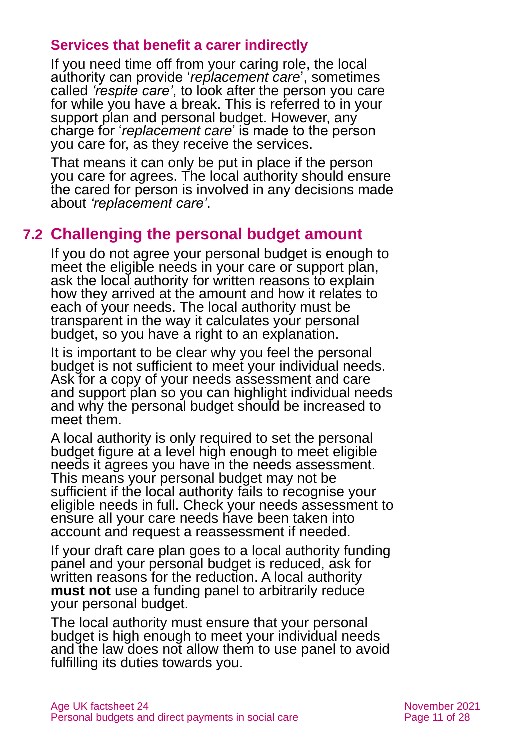### **Services that benefit a carer indirectly**

If you need time off from your caring role, the local authority can provide '*replacement care*', sometimes called *'respite care'*, to look after the person you care for while you have a break. This is referred to in your support plan and personal budget. However, any charge for '*replacement care*' is made to the person you care for, as they receive the services.

That means it can only be put in place if the person you care for agrees. The local authority should ensure the cared for person is involved in any decisions made about *'replacement care'*.

# **7.2 Challenging the personal budget amount**

If you do not agree your personal budget is enough to meet the eligible needs in your care or support plan, ask the local authority for written reasons to explain how they arrived at the amount and how it relates to each of your needs. The local authority must be transparent in the way it calculates your personal budget, so you have a right to an explanation.

It is important to be clear why you feel the personal budget is not sufficient to meet your individual needs. Ask for a copy of your needs assessment and care and support plan so you can highlight individual needs and why the personal budget should be increased to meet them.

A local authority is only required to set the personal budget figure at a level high enough to meet eligible needs it agrees you have in the needs assessment. This means your personal budget may not be sufficient if the local authority fails to recognise your eligible needs in full. Check your needs assessment to ensure all your care needs have been taken into account and request a reassessment if needed.

If your draft care plan goes to a local authority funding panel and your personal budget is reduced, ask for written reasons for the reduction. A local authority **must not** use a funding panel to arbitrarily reduce your personal budget.

The local authority must ensure that your personal budget is high enough to meet your individual needs and the law does not allow them to use panel to avoid fulfilling its duties towards you.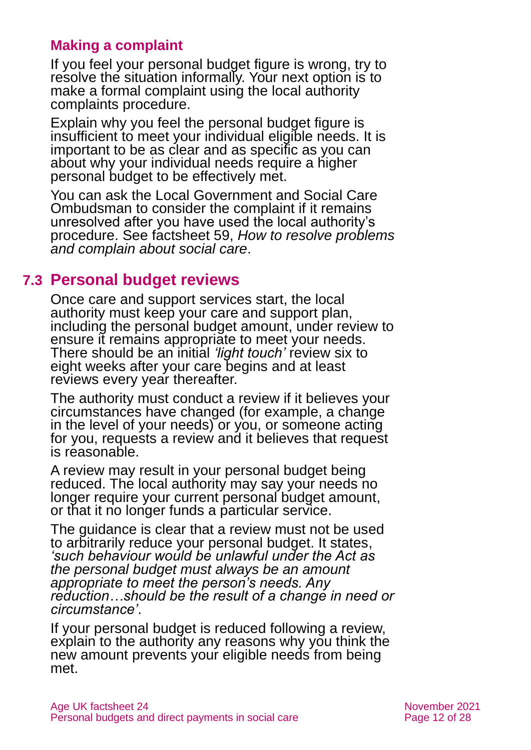## **Making a complaint**

If you feel your personal budget figure is wrong, try to resolve the situation informally. Your next option is to make a formal complaint using the local authority complaints procedure.

Explain why you feel the personal budget figure is insufficient to meet your individual eligible needs. It is important to be as clear and as specific as you can about why your individual needs require a higher personal budget to be effectively met.

You can ask the [Local Government and Social Care](https://www.lgo.org.uk/)  [Ombudsman](https://www.lgo.org.uk/) to consider the complaint if it remains unresolved after you have used the local authority's procedure. See factsheet 59, *[How to resolve problems](https://www.ageuk.org.uk/globalassets/age-uk/documents/factsheets/fs59_how_to_resolve_problems_and_complain_about_social_care_fcs.pdf)  [and complain about social care](https://www.ageuk.org.uk/globalassets/age-uk/documents/factsheets/fs59_how_to_resolve_problems_and_complain_about_social_care_fcs.pdf)*.

# **7.3 Personal budget reviews**

Once care and support services start, the local authority must keep your care and support plan, including the personal budget amount, under review to ensure it remains appropriate to meet your needs. There should be an initial *'light touch'* review six to eight weeks after your care begins and at least reviews every year thereafter.

The authority must conduct a review if it believes your circumstances have changed (for example, a change in the level of your needs) or you, or someone acting for you, requests a review and it believes that request is reasonable.

A review may result in your personal budget being reduced. The local authority may say your needs no longer require your current personal budget amount, or that it no longer funds a particular service.

The guidance is clear that a review must not be used to arbitrarily reduce your personal budget. It states, *'such behaviour would be unlawful under the Act as the personal budget must always be an amount appropriate to meet the person's needs. Any reduction…should be the result of a change in need or circumstance'*.

If your personal budget is reduced following a review, explain to the authority any reasons why you think the new amount prevents your eligible needs from being met.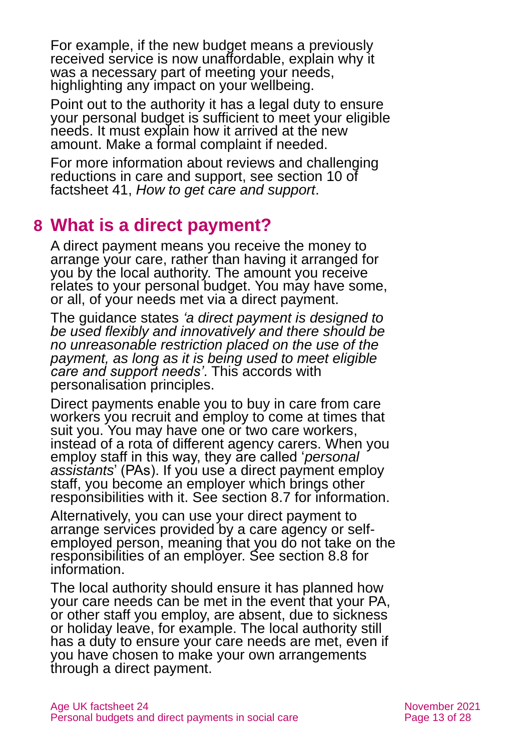For example, if the new budget means a previously received service is now unaffordable, explain why it was a necessary part of meeting your needs, highlighting any impact on your wellbeing.

Point out to the authority it has a legal duty to ensure your personal budget is sufficient to meet your eligible needs. It must explain how it arrived at the new amount. Make a formal complaint if needed.

For more information about reviews and challenging reductions in care and support, see section 10 of factsheet 41, *[How to get care and support](https://www.ageuk.org.uk/globalassets/age-uk/documents/factsheets/fs41_how_to_get_care_and_support_fcs.pdf)*.

# <span id="page-12-0"></span>**8 What is a direct payment?**

A direct payment means you receive the money to arrange your care, rather than having it arranged for you by the local authority. The amount you receive relates to your personal budget. You may have some, or all, of your needs met via a direct payment.

The guidance states *'a direct payment is designed to be used flexibly and innovatively and there should be no unreasonable restriction placed on the use of the payment, as long as it is being used to meet eligible care and support needs'*. This accords with personalisation principles.

Direct payments enable you to buy in care from care workers you recruit and employ to come at times that suit you. You may have one or two care workers, instead of a rota of different agency carers. When you employ staff in this way, they are called '*personal assistants*' (PAs). If you use a direct payment employ staff, you become an employer which brings other responsibilities with it. See [section 8.7](#page-18-0) for information.

Alternatively, you can use your direct payment to arrange services provided by a care agency or selfemployed person, meaning that you do not take on the responsibilities of an employer. See [section 8.8](#page-19-0) for information.

The local authority should ensure it has planned how your care needs can be met in the event that your PA, or other staff you employ, are absent, due to sickness or holiday leave, for example. The local authority still has a duty to ensure your care needs are met, even if you have chosen to make your own arrangements through a direct payment.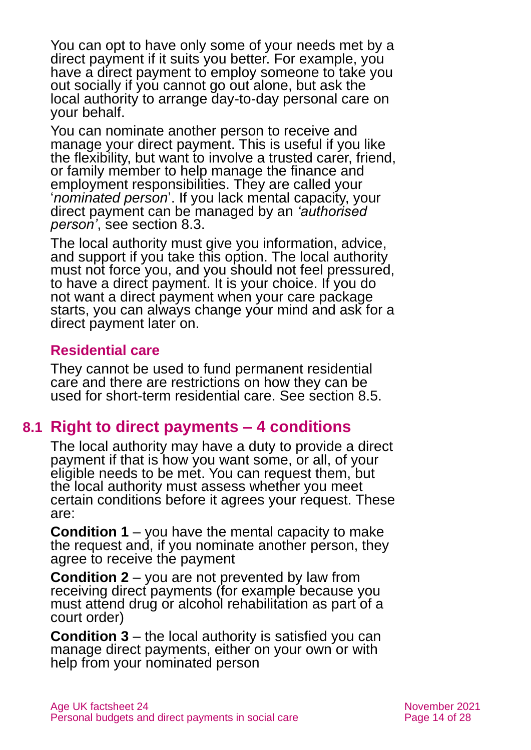You can opt to have only some of your needs met by a direct payment if it suits you better. For example, you have a direct payment to employ someone to take you out socially if you cannot go out alone, but ask the local authority to arrange day-to-day personal care on your behalf.

You can nominate another person to receive and manage your direct payment. This is useful if you like the flexibility, but want to involve a trusted carer, friend, or family member to help manage the finance and employment responsibilities. They are called your '*nominated person*'. If you lack mental capacity, your direct payment can be managed by an *'authorised person'*, see [section 8.3.](#page-14-0)

The local authority must give you information, advice, and support if you take this option. The local authority must not force you, and you should not feel pressured, to have a direct payment. It is your choice. If you do not want a direct payment when your care package starts, you can always change your mind and ask for a direct payment later on.

## **Residential care**

They cannot be used to fund permanent residential care and there are restrictions on how they can be used for short-term residential care. [See section 8.5.](#page-16-0)

# **8.1 Right to direct payments – 4 conditions**

The local authority may have a duty to provide a direct payment if that is how you want some, or all, of your eligible needs to be met. You can request them, but the local authority must assess whether you meet certain conditions before it agrees your request. These are:

**Condition 1** – you have the mental capacity to make the request and, if you nominate another person, they agree to receive the payment

**Condition 2** – you are not prevented by law from receiving direct payments (for example because you must attend drug or alcohol rehabilitation as part of a court order)

**Condition 3** – the local authority is satisfied you can manage direct payments, either on your own or with help from your nominated person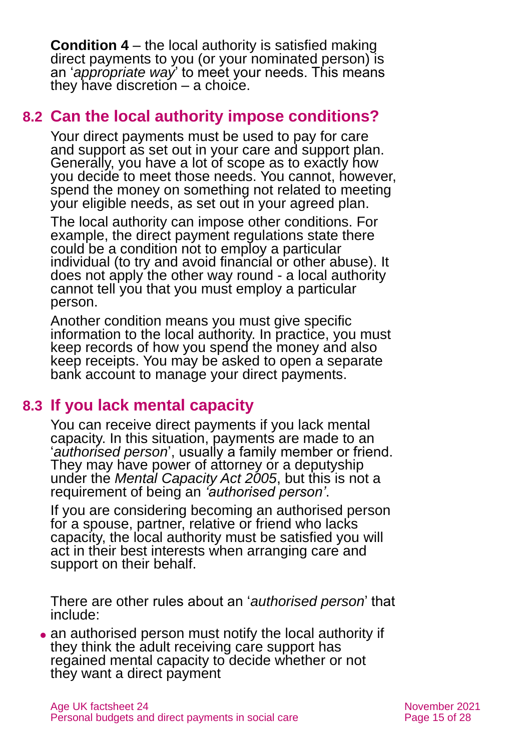**Condition 4** – the local authority is satisfied making direct payments to you (or your nominated person) is an '*appropriate way*' to meet your needs. This means they have discretion – a choice.

# **8.2 Can the local authority impose conditions?**

Your direct payments must be used to pay for care and support as set out in your care and support plan. Generally, you have a lot of scope as to exactly how you decide to meet those needs. You cannot, however, spend the money on something not related to meeting your eligible needs, as set out in your agreed plan.

The local authority can impose other conditions. For example, the direct payment regulations state there could be a condition not to employ a particular individual (to try and avoid financial or other abuse). It does not apply the other way round - a local authority cannot tell you that you must employ a particular person.

Another condition means you must give specific information to the local authority. In practice, you must keep records of how you spend the money and also keep receipts. You may be asked to open a separate bank account to manage your direct payments.

# <span id="page-14-0"></span>**8.3 If you lack mental capacity**

You can receive direct payments if you lack mental capacity. In this situation, payments are made to an '*authorised person*', usually a family member or friend. They may have power of attorney or a deputyship under the *Mental Capacity Act 2005*, but this is not a requirement of being an *'authorised person'*.

If you are considering becoming an authorised person for a spouse, partner, relative or friend who lacks capacity, the local authority must be satisfied you will act in their best interests when arranging care and support on their behalf.

There are other rules about an '*authorised person*' that include:

• an authorised person must notify the local authority if they think the adult receiving care support has regained mental capacity to decide whether or not they want a direct payment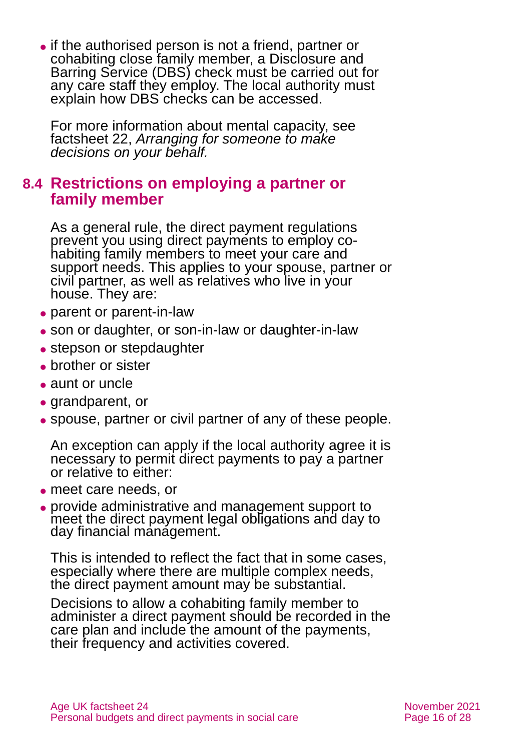⚫ if the authorised person is not a friend, partner or cohabiting close family member, a Disclosure and Barring Service (DBS) check must be carried out for any care staff they employ. The local authority must explain how DBS checks can be accessed.

For more information about mental capacity, see factsheet 22, *[Arranging for someone to make](https://www.ageuk.org.uk/globalassets/age-uk/documents/factsheets/fs22_arranging_for_someone_to_make_decisions_on_your_behalf_fcs.pdf)  [decisions on your behalf.](https://www.ageuk.org.uk/globalassets/age-uk/documents/factsheets/fs22_arranging_for_someone_to_make_decisions_on_your_behalf_fcs.pdf)*

# **8.4 Restrictions on employing a partner or family member**

As a general rule, the direct payment regulations prevent you using direct payments to employ cohabiting family members to meet your care and support needs. This applies to your spouse, partner or civil partner, as well as relatives who live in your house. They are:

- parent or parent-in-law
- son or daughter, or son-in-law or daughter-in-law
- stepson or stepdaughter
- ⚫ brother or sister
- aunt or uncle
- grandparent, or
- ⚫ spouse, partner or civil partner of any of these people.

An exception can apply if the local authority agree it is necessary to permit direct payments to pay a partner or relative to either:

- ⚫ meet care needs, or
- ⚫ provide administrative and management support to meet the direct payment legal obligations and day to day financial management.

This is intended to reflect the fact that in some cases, especially where there are multiple complex needs, the direct payment amount may be substantial.

Decisions to allow a cohabiting family member to administer a direct payment should be recorded in the care plan and include the amount of the payments, their frequency and activities covered.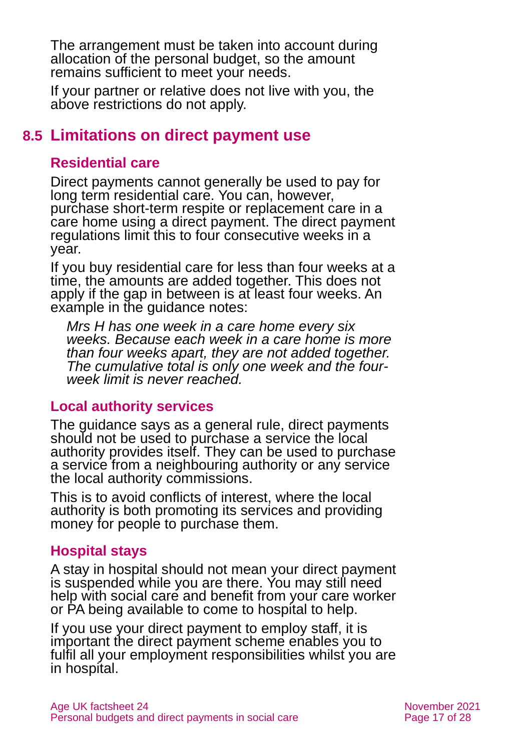The arrangement must be taken into account during allocation of the personal budget, so the amount remains sufficient to meet your needs.

<span id="page-16-0"></span>If your partner or relative does not live with you, the above restrictions do not apply.

# **8.5 Limitations on direct payment use**

# **Residential care**

Direct payments cannot generally be used to pay for long term residential care. You can, however, purchase short-term respite or replacement care in a care home using a direct payment. The direct payment regulations limit this to four consecutive weeks in a year.

If you buy residential care for less than four weeks at a time, the amounts are added together. This does not apply if the gap in between is at least four weeks. An example in the guidance notes:

*Mrs H has one week in a care home every six weeks. Because each week in a care home is more than four weeks apart, they are not added together. The cumulative total is only one week and the fourweek limit is never reached.* 

#### **Local authority services**

The guidance says as a general rule, direct payments should not be used to purchase a service the local authority provides itself. They can be used to purchase a service from a neighbouring authority or any service the local authority commissions.

This is to avoid conflicts of interest, where the local authority is both promoting its services and providing money for people to purchase them.

## **Hospital stays**

A stay in hospital should not mean your direct payment is suspended while you are there. You may still need help with social care and benefit from your care worker or PA being available to come to hospital to help.

If you use your direct payment to employ staff, it is important the direct payment scheme enables you to fulfil all your employment responsibilities whilst you are in hospital.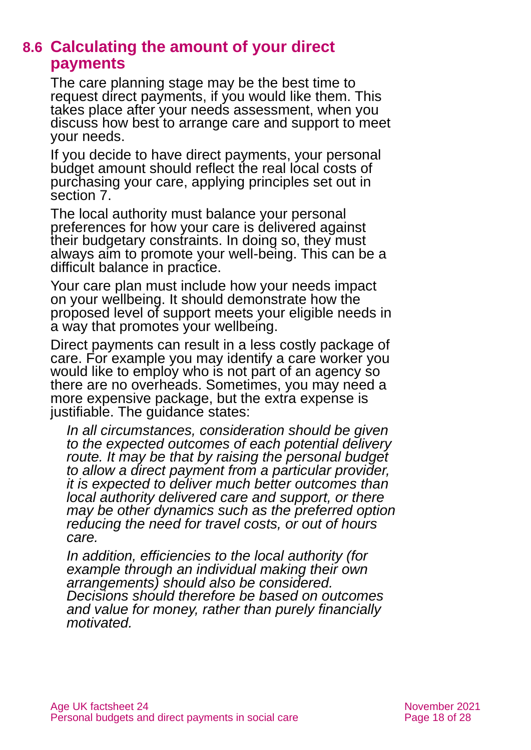# **8.6 Calculating the amount of your direct payments**

The care planning stage may be the best time to request direct payments, if you would like them. This takes place after your needs assessment, when you discuss how best to arrange care and support to meet your needs.

If you decide to have direct payments, your personal budget amount should reflect the real local costs of purchasing your care, applying principles set out in [section 7.](#page-7-0)

The local authority must balance your personal preferences for how your care is delivered against their budgetary constraints. In doing so, they must always aim to promote your well-being. This can be a difficult balance in practice.

Your care plan must include how your needs impact on your wellbeing. It should demonstrate how the proposed level of support meets your eligible needs in a way that promotes your wellbeing.

Direct payments can result in a less costly package of care. For example you may identify a care worker you would like to employ who is not part of an agency so there are no overheads. Sometimes, you may need a more expensive package, but the extra expense is justifiable. The guidance states:

*In all circumstances, consideration should be given to the expected outcomes of each potential delivery route. It may be that by raising the personal budget to allow a direct payment from a particular provider, it is expected to deliver much better outcomes than local authority delivered care and support, or there may be other dynamics such as the preferred option reducing the need for travel costs, or out of hours care.* 

*In addition, efficiencies to the local authority (for example through an individual making their own arrangements) should also be considered. Decisions should therefore be based on outcomes and value for money, rather than purely financially motivated.*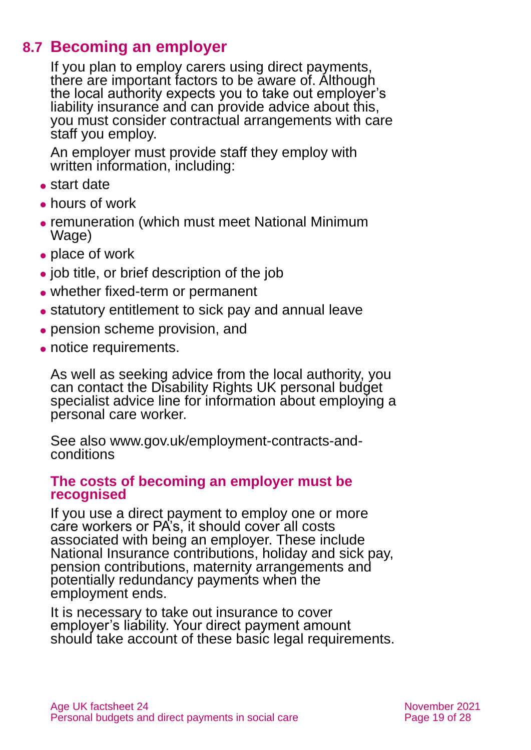# **8.7 Becoming an employer**

<span id="page-18-0"></span>If you plan to employ carers using direct payments, there are important factors to be aware of. Although the local authority expects you to take out employer's liability insurance and can provide advice about this, you must consider contractual arrangements with care staff you employ.

An employer must provide staff they employ with written information, including:

- ⚫ start date
- ⚫ hours of work
- ⚫ remuneration (which must meet National Minimum Wage)
- ⚫ place of work
- ⚫ job title, or brief description of the job
- ⚫ whether fixed-term or permanent
- ⚫ statutory entitlement to sick pay and annual leave
- ⚫ pension scheme provision, and
- notice requirements.

As well as seeking advice from the local authority, you can contact the [Disability Rights UK personal budget](https://www.disabilityrightsuk.org/how-we-can-help/helplines/independent-living-advice-line)  [specialist advice line](https://www.disabilityrightsuk.org/how-we-can-help/helplines/independent-living-advice-line) for information about employing a personal care worker.

See also [www.gov.uk/employment-contracts-and](http://www.gov.uk/employment-contracts-and-conditions)[conditions](http://www.gov.uk/employment-contracts-and-conditions)

#### **The costs of becoming an employer must be recognised**

If you use a direct payment to employ one or more care workers or PA's, it should cover all costs associated with being an employer. These include National Insurance contributions, holiday and sick pay, pension contributions, maternity arrangements and potentially redundancy payments when the employment ends.

It is necessary to take out insurance to cover employer's liability. Your direct payment amount should take account of these basic legal requirements.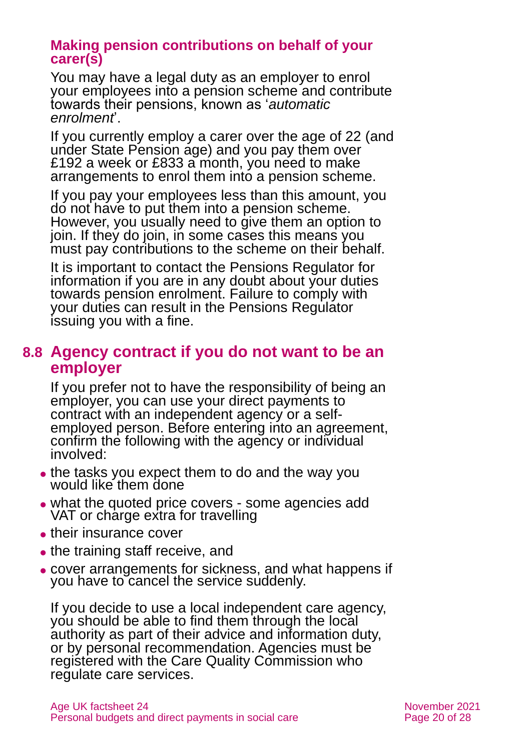#### **Making pension contributions on behalf of your carer(s)**

You may have a legal duty as an employer to enrol your employees into a pension scheme and contribute towards their pensions, known as '*automatic enrolment*'.

If you currently employ a carer over the age of 22 (and under State Pension age) and you pay them over £192 a week or £833 a month, you need to make arrangements to enrol them into a pension scheme.

If you pay your employees less than this amount, you do not have to put them into a pension scheme. However, you usually need to give them an option to join. If they do join, in some cases this means you must pay contributions to the scheme on their behalf.

It is important to contact the [Pensions Regulator](https://www.thepensionsregulator.gov.uk/en/employers/) for information if you are in any doubt about your duties towards pension enrolment. Failure to comply with your duties can result in the Pensions Regulator issuing you with a fine.

# <span id="page-19-0"></span>**8.8 Agency contract if you do not want to be an employer**

If you prefer not to have the responsibility of being an employer, you can use your direct payments to contract with an independent agency or a selfemployed person. Before entering into an agreement, confirm the following with the agency or individual involved:

- the tasks you expect them to do and the way you would like them done
- what the quoted price covers some agencies add VAT or charge extra for travelling
- their insurance cover
- the training staff receive, and
- ⚫ cover arrangements for sickness, and what happens if you have to cancel the service suddenly.

If you decide to use a local independent care agency, you should be able to find them through the local authority as part of their advice and information duty, or by personal recommendation. Agencies must be registered with the Care Quality Commission who regulate care services.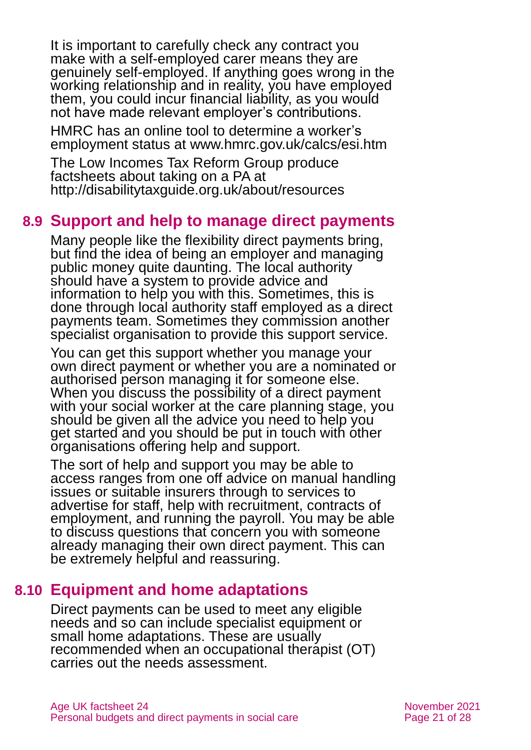It is important to carefully check any contract you make with a self-employed carer means they are genuinely self-employed. If anything goes wrong in the working relationship and in reality, you have employed them, you could incur financial liability, as you would not have made relevant employer's contributions.

HMRC has an online tool to determine a worker's employment status at [www.hmrc.gov.uk/calcs/esi.htm](http://www.hmrc.gov.uk/calcs/esi.htm)

The Low Incomes Tax Reform Group produce factsheets about taking on a PA at <http://disabilitytaxguide.org.uk/about/resources>

# **8.9 Support and help to manage direct payments**

Many people like the flexibility direct payments bring, but find the idea of being an employer and managing public money quite daunting. The local authority should have a system to provide advice and information to help you with this. Sometimes, this is done through local authority staff employed as a direct payments team. Sometimes they commission another specialist organisation to provide this support service.

You can get this support whether you manage your own direct payment or whether you are a nominated or authorised person managing it for someone else. When you discuss the possibility of a direct payment with your social worker at the care planning stage, you should be given all the advice you need to help you get started and you should be put in touch with other organisations offering help and support.

The sort of help and support you may be able to access ranges from one off advice on manual handling issues or suitable insurers through to services to advertise for staff, help with recruitment, contracts of employment, and running the payroll. You may be able to discuss questions that concern you with someone already managing their own direct payment. This can be extremely helpful and reassuring.

# **8.10 Equipment and home adaptations**

<span id="page-20-0"></span>Direct payments can be used to meet any eligible needs and so can include specialist equipment or small home adaptations. These are usually recommended when an occupational therapist (OT) carries out the needs assessment.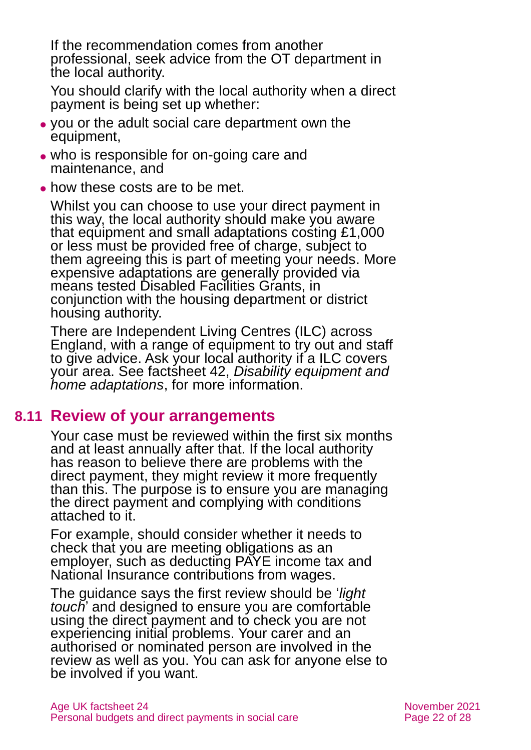If the recommendation comes from another professional, seek advice from the OT department in the local authority.

You should clarify with the local authority when a direct payment is being set up whether:

- ⚫ you or the adult social care department own the equipment,
- who is responsible for on-going care and maintenance, and
- how these costs are to be met.

Whilst you can choose to use your direct payment in this way, the local authority should make you aware that equipment and small adaptations costing £1,000 or less must be provided free of charge, subject to them agreeing this is part of meeting your needs. More expensive adaptations are generally provided via means tested Disabled Facilities Grants, in conjunction with the housing department or district housing authority.

There are Independent Living Centres (ILC) across England, with a range of equipment to try out and staff to give advice. Ask your local authority if a ILC covers your area. See factsheet 42, *[Disability equipment and](https://www.ageuk.org.uk/globalassets/age-uk/documents/factsheets/fs42_disability_equipment_and_home_adaptations_fcs.pdf)  [home adaptations](https://www.ageuk.org.uk/globalassets/age-uk/documents/factsheets/fs42_disability_equipment_and_home_adaptations_fcs.pdf)*, for more information.

# **8.11 Review of your arrangements**

Your case must be reviewed within the first six months and at least annually after that. If the local authority has reason to believe there are problems with the direct payment, they might review it more frequently than this. The purpose is to ensure you are managing the direct payment and complying with conditions attached to it.

For example, should consider whether it needs to check that you are meeting obligations as an employer, such as deducting PAYE income tax and National Insurance contributions from wages.

The guidance says the first review should be '*light touch*' and designed to ensure you are comfortable using the direct payment and to check you are not experiencing initial problems. Your carer and an authorised or nominated person are involved in the review as well as you. You can ask for anyone else to be involved if you want.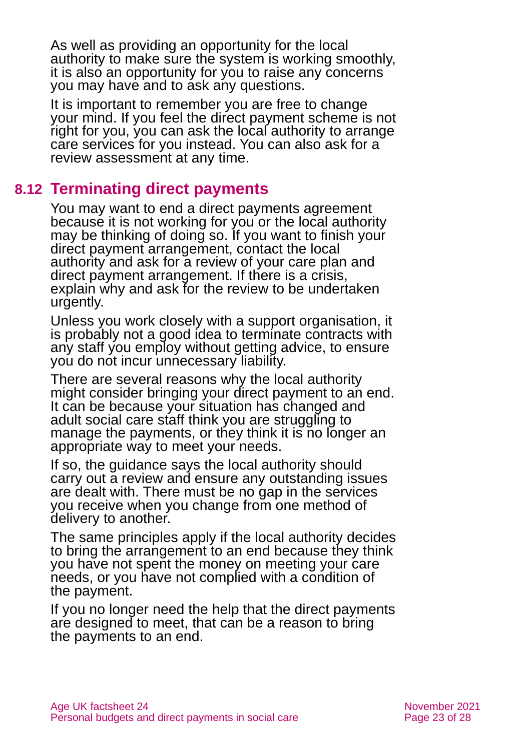As well as providing an opportunity for the local authority to make sure the system is working smoothly, it is also an opportunity for you to raise any concerns you may have and to ask any questions.

It is important to remember you are free to change your mind. If you feel the direct payment scheme is not right for you, you can ask the local authority to arrange care services for you instead. You can also ask for a review assessment at any time.

# **8.12 Terminating direct payments**

You may want to end a direct payments agreement because it is not working for you or the local authority may be thinking of doing so. If you want to finish your direct payment arrangement, contact the local authority and ask for a review of your care plan and direct payment arrangement. If there is a crisis, explain why and ask for the review to be undertaken urgently.

Unless you work closely with a support organisation, it is probably not a good idea to terminate contracts with any staff you employ without getting advice, to ensure you do not incur unnecessary liability.

There are several reasons why the local authority might consider bringing your direct payment to an end. It can be because your situation has changed and adult social care staff think you are struggling to manage the payments, or they think it is no longer an appropriate way to meet your needs.

If so, the guidance says the local authority should carry out a review and ensure any outstanding issues are dealt with. There must be no gap in the services you receive when you change from one method of delivery to another.

The same principles apply if the local authority decides to bring the arrangement to an end because they think you have not spent the money on meeting your care needs, or you have not complied with a condition of the payment.

If you no longer need the help that the direct payments are designed to meet, that can be a reason to bring the payments to an end.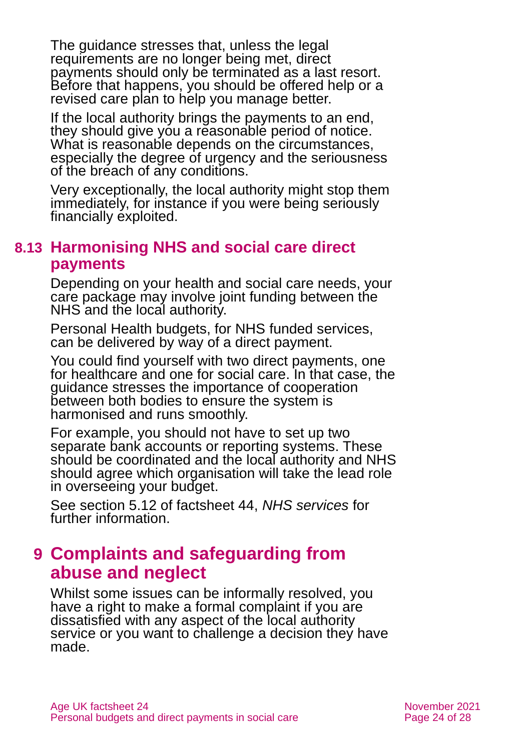The guidance stresses that, unless the legal requirements are no longer being met, direct payments should only be terminated as a last resort. Before that happens, you should be offered help or a revised care plan to help you manage better.

If the local authority brings the payments to an end, they should give you a reasonable period of notice. What is reasonable depends on the circumstances, especially the degree of urgency and the seriousness of the breach of any conditions.

Very exceptionally, the local authority might stop them immediately, for instance if you were being seriously financially exploited.

# **8.13 Harmonising NHS and social care direct payments**

Depending on your health and social care needs, your care package may involve joint funding between the NHS and the local authority.

Personal Health budgets, for NHS funded services, can be delivered by way of a direct payment.

You could find yourself with two direct payments, one for healthcare and one for social care. In that case, the guidance stresses the importance of cooperation between both bodies to ensure the system is harmonised and runs smoothly.

For example, you should not have to set up two separate bank accounts or reporting systems. These should be coordinated and the local authority and NHS should agree which organisation will take the lead role in overseeing your budget.

See section 5.12 of factsheet 44, *[NHS services](https://www.ageuk.org.uk/globalassets/age-uk/documents/factsheets/fs44_nhs_services_fcs.pdf)* for further information.

# <span id="page-23-0"></span>**9 Complaints and safeguarding from abuse and neglect**

Whilst some issues can be informally resolved, you have a right to make a formal complaint if you are dissatisfied with any aspect of the local authority service or you want to challenge a decision they have made.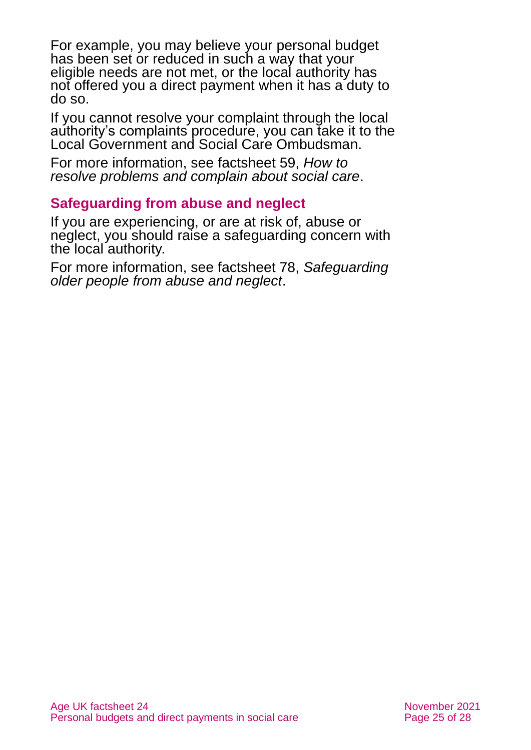For example, you may believe your personal budget has been set or reduced in such a way that your eligible needs are not met, or the local authority has not offered you a direct payment when it has a duty to do so.

If you cannot resolve your complaint through the local authority's complaints procedure, you can take it to the Local Government and Social Care Ombudsman.

For more information, see factsheet 59, *[How to](https://www.ageuk.org.uk/globalassets/age-uk/documents/factsheets/fs59_how_to_resolve_problems_and_complain_about_social_care_fcs.pdf)  [resolve problems and complain about social care](https://www.ageuk.org.uk/globalassets/age-uk/documents/factsheets/fs59_how_to_resolve_problems_and_complain_about_social_care_fcs.pdf)*.

### **Safeguarding from abuse and neglect**

If you are experiencing, or are at risk of, abuse or neglect, you should raise a safeguarding concern with the local authority.

For more information, see factsheet 78, *[Safeguarding](https://www.ageuk.org.uk/globalassets/age-uk/documents/factsheets/fs78_safeguarding_older_people_from_abuse_fcs.pdf)  [older people from abuse and neglect](https://www.ageuk.org.uk/globalassets/age-uk/documents/factsheets/fs78_safeguarding_older_people_from_abuse_fcs.pdf)*.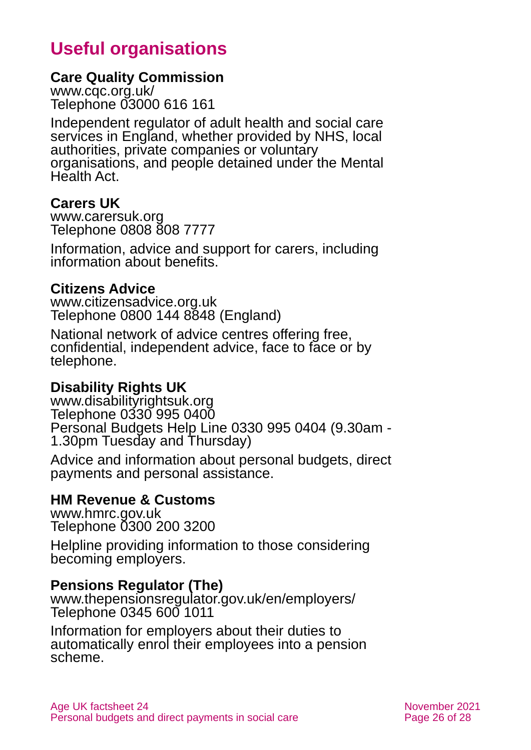# **Useful organisations**

#### <span id="page-25-0"></span>**Care Quality Commission**

[www.cqc.org.uk/](http://www.cqc.org.uk/) Telephone 03000 616 161

Independent regulator of adult health and social care services in England, whether provided by NHS, local authorities, private companies or voluntary organisations, and people detained under the Mental Health Act.

### **Carers UK**

[www.carersuk.org](http://www.carersuk.org/) Telephone 0808 808 7777

Information, advice and support for carers, including information about benefits.

### **Citizens Advice**

[www.citizensadvice.org.uk](http://www.citizensadvice.org.uk/) Telephone 0800 144 8848 (England)

National network of advice centres offering free, confidential, independent advice, face to face or by telephone.

## **Disability Rights UK**

[www.disabilityrightsuk.org](http://www.disabilityrightsuk.org/) Telephone 0330 995 0400 Personal Budgets Help Line 0330 995 0404 (9.30am - 1.30pm Tuesday and Thursday)

Advice and information about personal budgets, direct payments and personal assistance.

# **HM Revenue & Customs**

[www.hmrc.gov.uk](http://www.hmrc.gov.uk/) Telephone 0300 200 3200

Helpline providing information to those considering becoming employers.

#### **Pensions Regulator (The)**

[www.thepensionsregulator.gov.uk/en/employers/](http://www.thepensionsregulator.gov.uk/en/employers/) Telephone 0345 600 1011

Information for employers about their duties to automatically enrol their employees into a pension scheme.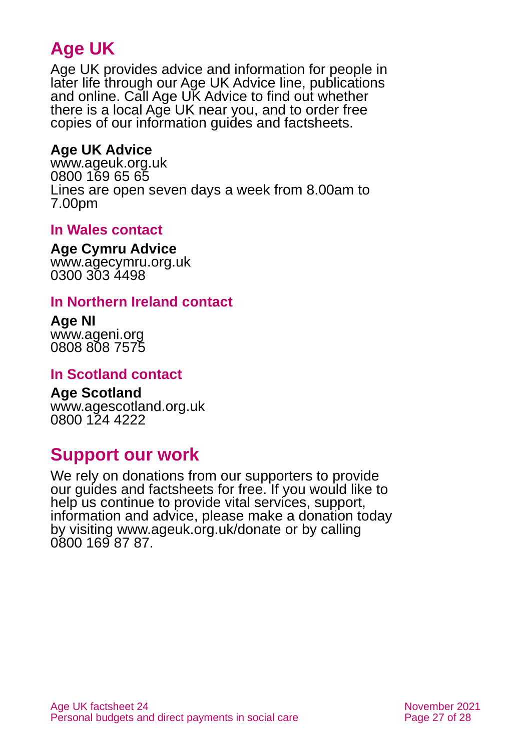# **Age UK**

Age UK provides advice and information for people in later life through our Age UK Advice line, publications and online. Call Age UK Advice to find out whether there is a local Age UK near you, and to order free copies of our information guides and factsheets.

# <span id="page-26-1"></span>**Age UK Advice**

[www.ageuk.org.uk](http://www.ageuk.org.uk/) 0800 169 65 65 Lines are open seven days a week from 8.00am to 7.00pm

## **In Wales contact**

#### **Age Cymru Advice**

[www.agecymru.org.uk](http://www.agecymru.org.uk/) 0300 303 4498

### <span id="page-26-0"></span>**In Northern Ireland contact**

#### **Age NI** [www.ageni.org](http://www.ageni.org/)

0808 808 7575

## **In Scotland contact**

# <span id="page-26-2"></span>**Age Scotland**

[www.agescotland.org.uk](http://www.agescotland.org.uk/) 0800 124 4222

# **Support our work**

We rely on donations from our supporters to provide our guides and factsheets for free. If you would like to help us continue to provide vital services, support, information and advice, please make a donation today by visiting [www.ageuk.org.uk/donate](http://www.ageuk.org.uk/donate) or by calling 0800 169 87 87.